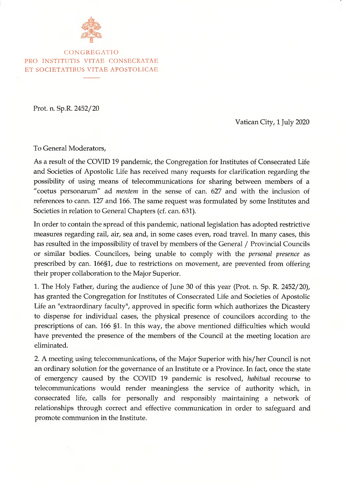

**C O N G REG A TIO PRO INSTITUTIS VITAE CONSECRATAE ET SOCIETATIBUS VITAE APOSTOLICAE**

Prot. n. Sp.R. 2452/20

Vatican City, 1 July 2020

To General Moderators,

As a result of the COVID 19 pandemic, the Congregation for Institutes of Consecrated Life and Societies of Apostolic Life has received many requests for clarification regarding the possibility of using means of telecommunications for sharing between members of a "coetus personarum" ad *mentem* in the sense of can. 627 and with the inclusion of references to cann. 127 and 166. The same request was formulated by some Institutes and Societies in relation to General Chapters (cf. can. 631).

In order to contain the spread of this pandemic, national legislation has adopted restrictive measures regarding rail, air, sea and, in some cases even, road travel. In many cases, this has resulted in the impossibility of travel by members of the General / Provincial Councils or similar bodies. Councilors, being unable to comply with the *personal presence* as prescribed by can. 166§1, due to restrictions on movement, are prevented from offering their proper collaboration to the Major Superior.

1. The Holy Father, during the audience of June 30 of this year (Prot. n. Sp. R. 2452/20), has granted the Congregation for Institutes of Consecrated Life and Societies of Apostolic Life an "extraordinary faculty", approved in specific form which authorizes the Dicastery to dispense for individual cases, the physical presence of councilors according to the prescriptions of can. 166 §1. In this way, the above mentioned difficulties which would have prevented the presence of the members of the Council at the meeting location are eliminated.

2. A meeting using telecommunications, of the Major Superior with his/her Council is not an ordinary solution for the governance of an Institute or a Province. In fact, once the state of emergency caused by the COVID 19 pandemic is resolved, *habitual* recourse to telecommunications would render meaningless the service of authority which, in consecrated life, calls for personally and responsibly maintaining a network of relationships through correct and effective communication in order to safeguard and promote communion in the Institute.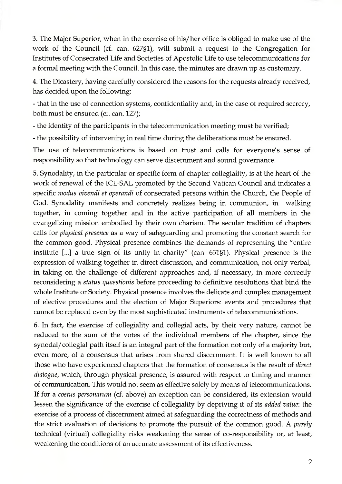3. The Major Superior, when in the exercise of his/her office is obliged to make use of the work of the Council (cf. can. 627§1), will submit a request to the Congregation for Institutes of Consecrated Life and Societies of Apostolic Life to use telecommunications for a formal meeting with the Council. In this case, the minutes are drawn up as customary.

4. The Dicastery, having carefully considered the reasons for the requests already received, has decided upon the following:

- that in the use of connection systems, confidentiality and, in the case of required secrecy, both must be ensured (cf. can. 127);

- the identity of the participants in the telecommunication meeting must be verified;

- the possibility of intervening in real time during the deliberations must be ensured.

The use of telecommunications is based on trust and calls for everyone's sense of responsibility so that technology can serve discernment and sound governance.

5. Synodality, in the particular or specific form of chapter collegiality, is at the heart of the work of renewal of the ICL-SAL promoted by the Second Vatican Council and indicates a specific *modus vivendi et operandi* of consecrated persons within the Church, the People of God. Synodality manifests and concretely realizes being in communion, in walking together, in coming together and in the active participation of all members in the evangelizing mission embodied by their own charism. The secular tradition of chapters calls for *physical presence* as a way of safeguarding and promoting the constant search for the common good. Physical presence combines the demands of representing the "entire institute [...] a true sign of its unity in charity" (can. 631§1). Physical presence is the expression of walking together in direct discussion, and communication, not only verbal, in taking on the challenge of different approaches and, if necessary, in more correctly reconsidering a *status quaestionis* before proceeding to definitive resolutions that bind the whole Institute or Society. Physical presence involves the delicate and complex management of elective procedures and the election of Major Superiors: events and procedures that cannot be replaced even by the most sophisticated instruments of telecommunications.

6. In fact, the exercise of collegiality and collegial acts, by their very nature, cannot be reduced to the sum of the votes of the individual members of the chapter, since the synodal/collegial path itself is an integral part of the formation not only of a majority but, even more, of a consensus that arises from shared discernment. It is well known to all those who have experienced chapters that the formation of consensus is the result of *direct dialogue,* which, through physical presence, is assured with respect to timing and manner of communication. This would not seem as effective solely by means of telecommunications. If for a *coetus personarum* (cf. above) an exception can be considered, its extension would lessen the significance of the exercise of collegiality by depriving it of its *added value*: the exercise of a process of discernment aimed at safeguarding the correctness of methods and the strict evaluation of decisions to promote the pursuit of the common good. A *purely* technical (virtual) collegiality risks weakening the sense of co-responsibility or, at least, weakening the conditions of an accurate assessment of its effectiveness.